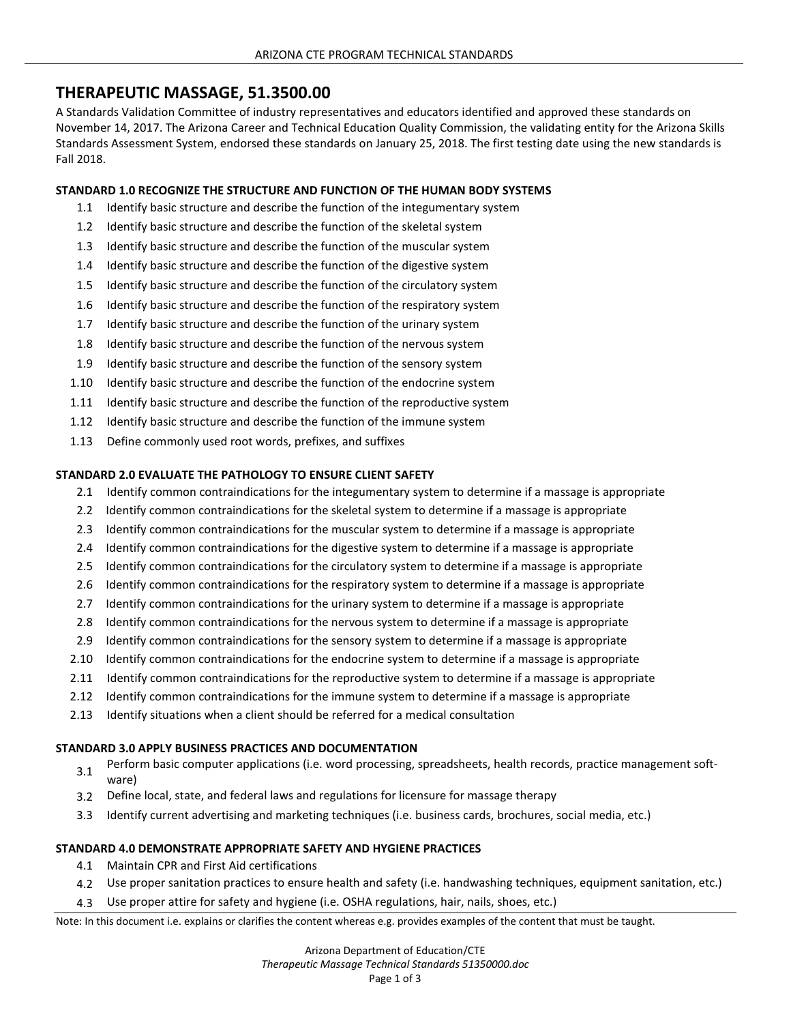# **THERAPEUTIC MASSAGE, 51.3500.00**

A Standards Validation Committee of industry representatives and educators identified and approved these standards on November 14, 2017. The Arizona Career and Technical Education Quality Commission, the validating entity for the Arizona Skills Standards Assessment System, endorsed these standards on January 25, 2018. The first testing date using the new standards is Fall 2018.

### **STANDARD 1.0 RECOGNIZE THE STRUCTURE AND FUNCTION OF THE HUMAN BODY SYSTEMS**

- 1.1 Identify basic structure and describe the function of the integumentary system
- 1.2 Identify basic structure and describe the function of the skeletal system
- 1.3 Identify basic structure and describe the function of the muscular system
- 1.4 Identify basic structure and describe the function of the digestive system
- 1.5 Identify basic structure and describe the function of the circulatory system
- 1.6 Identify basic structure and describe the function of the respiratory system
- 1.7 Identify basic structure and describe the function of the urinary system
- 1.8 Identify basic structure and describe the function of the nervous system
- 1.9 Identify basic structure and describe the function of the sensory system
- 1.10 Identify basic structure and describe the function of the endocrine system
- 1.11 Identify basic structure and describe the function of the reproductive system
- 1.12 Identify basic structure and describe the function of the immune system
- 1.13 Define commonly used root words, prefixes, and suffixes

#### **STANDARD 2.0 EVALUATE THE PATHOLOGY TO ENSURE CLIENT SAFETY**

- 2.1 Identify common contraindications for the integumentary system to determine if a massage is appropriate
- 2.2 Identify common contraindications for the skeletal system to determine if a massage is appropriate
- 2.3 Identify common contraindications for the muscular system to determine if a massage is appropriate
- 2.4 Identify common contraindications for the digestive system to determine if a massage is appropriate
- 2.5 Identify common contraindications for the circulatory system to determine if a massage is appropriate
- 2.6 Identify common contraindications for the respiratory system to determine if a massage is appropriate
- 2.7 Identify common contraindications for the urinary system to determine if a massage is appropriate
- 2.8 Identify common contraindications for the nervous system to determine if a massage is appropriate
- 2.9 Identify common contraindications for the sensory system to determine if a massage is appropriate
- 2.10 Identify common contraindications for the endocrine system to determine if a massage is appropriate
- 2.11 Identify common contraindications for the reproductive system to determine if a massage is appropriate
- 2.12 Identify common contraindications for the immune system to determine if a massage is appropriate
- 2.13 Identify situations when a client should be referred for a medical consultation

#### **STANDARD 3.0 APPLY BUSINESS PRACTICES AND DOCUMENTATION**

- 3.1 Perform basic computer applications (i.e. word processing, spreadsheets, health records, practice management software)
- 3.2 Define local, state, and federal laws and regulations for licensure for massage therapy
- 3.3 Identify current advertising and marketing techniques (i.e. business cards, brochures, social media, etc.)

## **STANDARD 4.0 DEMONSTRATE APPROPRIATE SAFETY AND HYGIENE PRACTICES**

- 4.1 Maintain CPR and First Aid certifications
- 4.2 Use proper sanitation practices to ensure health and safety (i.e. handwashing techniques, equipment sanitation, etc.)
- 4.3 Use proper attire for safety and hygiene (i.e. OSHA regulations, hair, nails, shoes, etc.)

Note: In this document i.e. explains or clarifies the content whereas e.g. provides examples of the content that must be taught.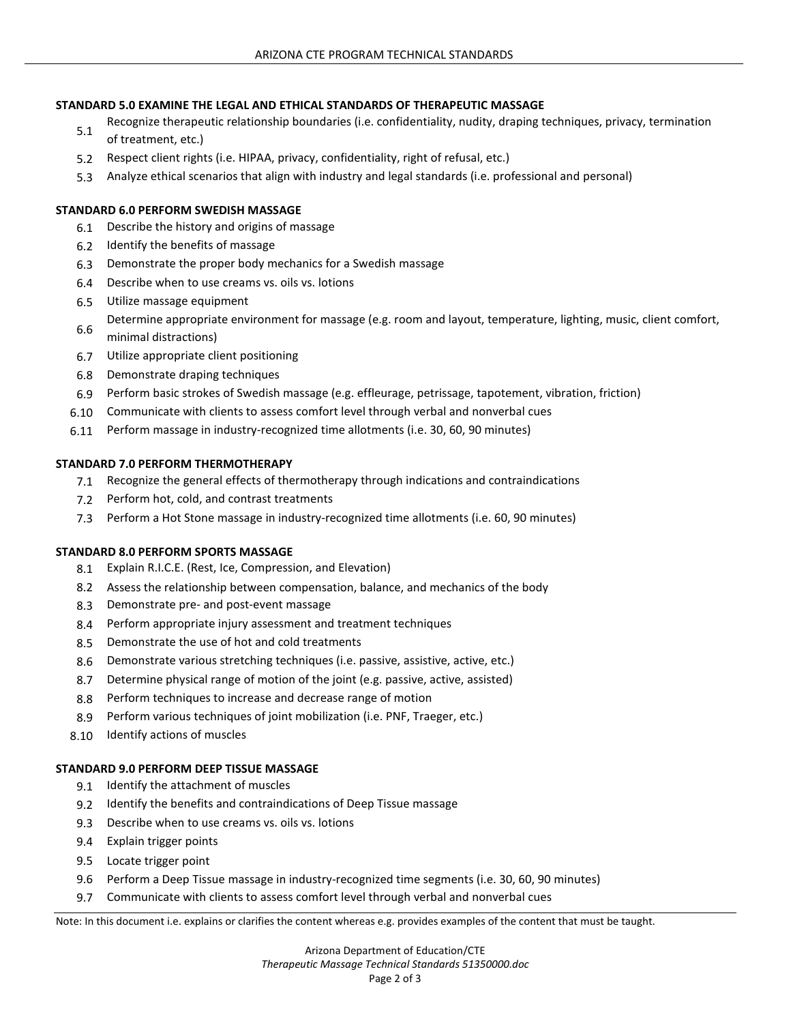### **STANDARD 5.0 EXAMINE THE LEGAL AND ETHICAL STANDARDS OF THERAPEUTIC MASSAGE**

- Recognize therapeutic relationship boundaries (i.e. confidentiality, nudity, draping techniques, privacy, termination<br>5.1 of treatment, etc.)
- 5.2 Respect client rights (i.e. HIPAA, privacy, confidentiality, right of refusal, etc.)
- 5.3 Analyze ethical scenarios that align with industry and legal standards (i.e. professional and personal)

### **STANDARD 6.0 PERFORM SWEDISH MASSAGE**

- 6.1 Describe the history and origins of massage
- 6.2 Identify the benefits of massage
- 6.3 Demonstrate the proper body mechanics for a Swedish massage
- 6.4 Describe when to use creams vs. oils vs. lotions
- 6.5 Utilize massage equipment
- 6.6 Determine appropriate environment for massage (e.g. room and layout, temperature, lighting, music, client comfort, minimal distractions)
- 6.7 Utilize appropriate client positioning
- 6.8 Demonstrate draping techniques
- 6.9 Perform basic strokes of Swedish massage (e.g. effleurage, petrissage, tapotement, vibration, friction)
- 6.10 Communicate with clients to assess comfort level through verbal and nonverbal cues
- 6.11 Perform massage in industry-recognized time allotments (i.e. 30, 60, 90 minutes)

## **STANDARD 7.0 PERFORM THERMOTHERAPY**

- 7.1 Recognize the general effects of thermotherapy through indications and contraindications
- 7.2 Perform hot, cold, and contrast treatments
- 7.3 Perform a Hot Stone massage in industry-recognized time allotments (i.e. 60, 90 minutes)

#### **STANDARD 8.0 PERFORM SPORTS MASSAGE**

- 8.1 Explain R.I.C.E. (Rest, Ice, Compression, and Elevation)
- 8.2 Assess the relationship between compensation, balance, and mechanics of the body
- 8.3 Demonstrate pre- and post-event massage
- 8.4 Perform appropriate injury assessment and treatment techniques
- 8.5 Demonstrate the use of hot and cold treatments
- 8.6 Demonstrate various stretching techniques (i.e. passive, assistive, active, etc.)
- 8.7 Determine physical range of motion of the joint (e.g. passive, active, assisted)
- 8.8 Perform techniques to increase and decrease range of motion
- 8.9 Perform various techniques of joint mobilization (i.e. PNF, Traeger, etc.)
- 8.10 Identify actions of muscles

#### **STANDARD 9.0 PERFORM DEEP TISSUE MASSAGE**

- 9.1 Identify the attachment of muscles
- 9.2 Identify the benefits and contraindications of Deep Tissue massage
- 9.3 Describe when to use creams vs. oils vs. lotions
- 9.4 Explain trigger points
- 9.5 Locate trigger point
- 9.6 Perform a Deep Tissue massage in industry-recognized time segments (i.e. 30, 60, 90 minutes)
- 9.7 Communicate with clients to assess comfort level through verbal and nonverbal cues

Note: In this document i.e. explains or clarifies the content whereas e.g. provides examples of the content that must be taught.